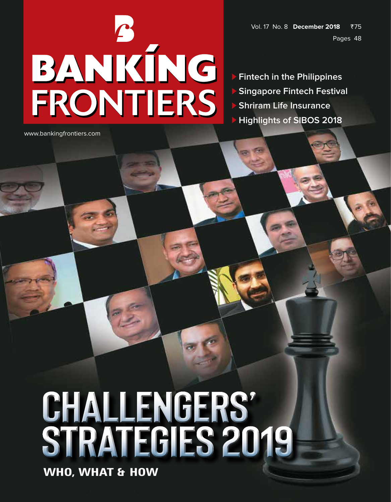Vol. 17 No. 8 **December 2018** `75 Pages 48

# BANKÍNG FRONTIERS

 **Fintech in the Philippines Singapore Fintech Festival Shriram Life Insurance Highlights of SIBOS 2018**

www.bankingfrontiers.com

## **challengerS' strategies 2019**

**WHO, WHAT & HOW**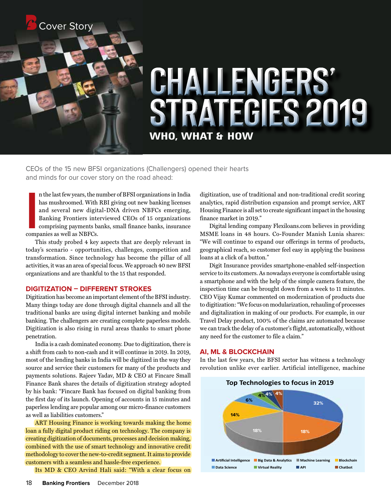

### **challengerS' strategies 2019 WHO, WHAT & HOW**

CEOs of the 15 new BFSI organizations (Challengers) opened their hearts and minds for our cover story on the road ahead:

In the last few years, the r<br>
has mushroomed. With<br>
and several new digit<br>
Banking Frontiers interpolarized as well as NBFCs.<br>
companies as well as NBFCs. n the last few years, the number of BFSI organizations in India has mushroomed. With RBI giving out new banking licenses and several new digital-DNA driven NBFCs emerging, Banking Frontiers interviewed CEOs of 15 organizations comprising payments banks, small finance banks, insurance

This study probed 4 key aspects that are deeply relevant in today's scenario - opportunities, challenges, competition and transformation. Since technology has become the pillar of all activities, it was an area of special focus. We approach 40 new BFSI organizations and are thankful to the 15 that responded.

#### **DIGITIZATION – Different Strokes**

Digitization has become an important element of the BFSI industry. Many things today are done through digital channels and all the traditional banks are using digital internet banking and mobile banking. The challengers are creating complete paperless models. Digitization is also rising in rural areas thanks to smart phone penetration.

India is a cash dominated economy. Due to digitization, there is a shift from cash to non-cash and it will continue in 2019. In 2019, most of the lending banks in India will be digitized in the way they source and service their customers for many of the products and payments solutions. Rajeev Yadav, MD & CEO at Fincare Small Finance Bank shares the details of digitization strategy adopted by his bank: "Fincare Bank has focused on digital banking from the first day of its launch. Opening of accounts in 15 minutes and paperless lending are popular among our micro-finance customers as well as liabilities customers."

ART Housing Finance is working towards making the home loan a fully digital product riding on technology. The company is creating digitization of documents, processes and decision making, combined with the use of smart technology and innovative credit methodology to cover the new-to-credit segment. It aims to provide customers with a seamless and hassle-free experience.

Its MD & CEO Arvind Hali said: "With a clear focus on

digitization, use of traditional and non-traditional credit scoring analytics, rapid distribution expansion and prompt service, ART Housing Finance is all set to create significant impact in the housing finance market in 2019."

Digital lending company Flexiloans.com believes in providing MSME loans in 48 hours. Co-Founder Manish Lunia shares: "We will continue to expand our offerings in terms of products, geographical reach, so customer feel easy in applying the business loans at a click of a button."

Digit Insurance provides smartphone-enabled self-inspection service to its customers. As nowadays everyone is comfortable using a smartphone and with the help of the simple camera feature, the inspection time can be brought down from a week to 11 minutes. CEO Vijay Kumar commented on modernization of products due to digitization: "We focus on modularization, rehauling of processes and digitalization in making of our products. For example, in our Travel Delay product, 100% of the claims are automated because we can track the delay of a customer's flight, automatically, without any need for the customer to file a claim."

#### **AI, ML & BLOCKCHAIN**

In the last few years, the BFSI sector has witness a technology revolution unlike ever earlier. Artificial intelligence, machine

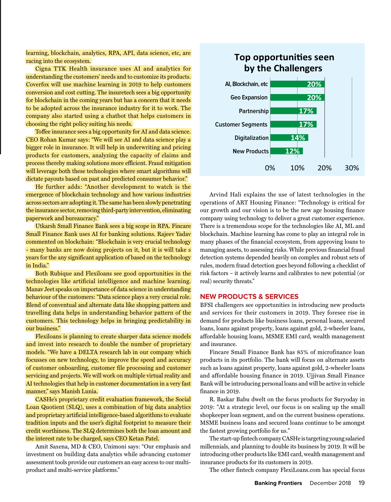learning, blockchain, analytics, RPA, API, data science, etc, are racing into the ecosystem.

Cigna TTK Health insurance uses AI and analytics for understanding the customers' needs and to customize its products. Coverfox will use machine learning in 2019 to help customers conversion and cost cutting. The insuretech sees a big opportunity for blockchain in the coming years but has a concern that it needs to be adopted across the insurance industry for it to work. The company also started using a chatbot that helps customers in choosing the right policy suiting his needs.

Toffee insurance sees a big opportunity for AI and data science. CEO Rohan Kumar says: "We will see AI and data science play a bigger role in insurance. It will help in underwriting and pricing products for customers, analyzing the capacity of claims and process thereby making solutions more efficient. Fraud mitigation will leverage both these technologies where smart algorithms will dictate payouts based on past and predicted consumer behavior."

He further adds: "Another development to watch is the emergence of blockchain technology and how various industries across sectors are adopting it. The same has been slowly penetrating the insurance sector, removing third-party intervention, eliminating paperwork and bureaucracy."

Utkarsh Small Finance Bank sees a big scope in RPA. Fincare Small Finance Bank uses AI for banking solutions. Rajeev Yadav commented on blockchain: "Blockchain is very crucial technology - many banks are now doing projects on it, but it is will take s years for the any significant application of based on the technology in India."

Both Rubique and Flexiloans see good opportunities in the technologies like artificial intelligence and machine learning. Manav Jeet speaks on importance of data science in understanding behaviour of the customers: "Data science plays a very crucial role. Blend of conventual and alternate data like shopping pattern and travelling data helps in understanding behavior pattern of the customers. This technology helps in bringing predictability in our business."

Flexiloans is planning to create sharper data science models and invest into research to double the number of proprietary models. "We have a DELTA research lab in our company which focusses on new technology, to improve the speed and accuracy of customer onboarding, customer file processing and customer servicing and projects. We will work on multiple virtual reality and AI technologies that help in customer documentation in a very fast manner," says Manish Lunia.

CASHe's proprietary credit evaluation framework, the Social Loan Quotient (SLQ), uses a combination of big data analytics and proprietary artificial intelligence-based algorithms to evaluate tradition inputs and the user's digital footprint to measure their credit worthiness. The SLQ determines both the loan amount and the interest rate to be charged, says CEO Ketan Patel.

Amit Saxena, MD & CEO, Unimoni says: "Our emphasis and investment on building data analytics while advancing customer assessment tools provide our customers an easy access to our multiproduct and multi-service platforms."



Arvind Hali explains the use of latest technologies in the operations of ART Housing Finance: "Technology is critical for our growth and our vision is to be the new age housing finance company using technology to deliver a great customer experience. There is a tremendous scope for the technologies like AI, ML and blockchain. Machine learning has come to play an integral role in many phases of the financial ecosystem, from approving loans to managing assets, to assessing risks. While previous financial fraud detection systems depended heavily on complex and robust sets of rules, modern fraud detection goes beyond following a checklist of risk factors – it actively learns and calibrates to new potential (or real) security threats."

#### **NEW PRODUCTS & SERVICES**

BFSI challengers see opportunities in introducing new products and services for their customers in 2019. They foresee rise in demand for products like business loans, personal loans, secured loans, loans against property, loans against gold, 2-wheeler loans, affordable housing loans, MSME EMI card, wealth management and insurance.

Fincare Small Finance Bank has 85% of microfinance loan products in its portfolio. The bank will focus on alternate assets such as loans against property, loans against gold, 2-wheeler loans and affordable housing finance in 2019. Ujjivan Small Finance Bank will be introducing personal loans and will be active in vehicle finance in 2019.

R. Baskar Babu dwelt on the focus products for Suryoday in 2019: "At a strategic level, our focus is on scaling up the small shopkeeper loan segment, and on the current business operations. MSME business loans and secured loans continue to be amongst the fastest growing portfolio for us."

The start-up fintech company CASHe is targeting young salaried millennials, and planning to double its business by 2019. It will be introducing other products like EMI card, wealth management and insurance products for its customers in 2019.

The other fintech company FlexiLoans.com has special focus